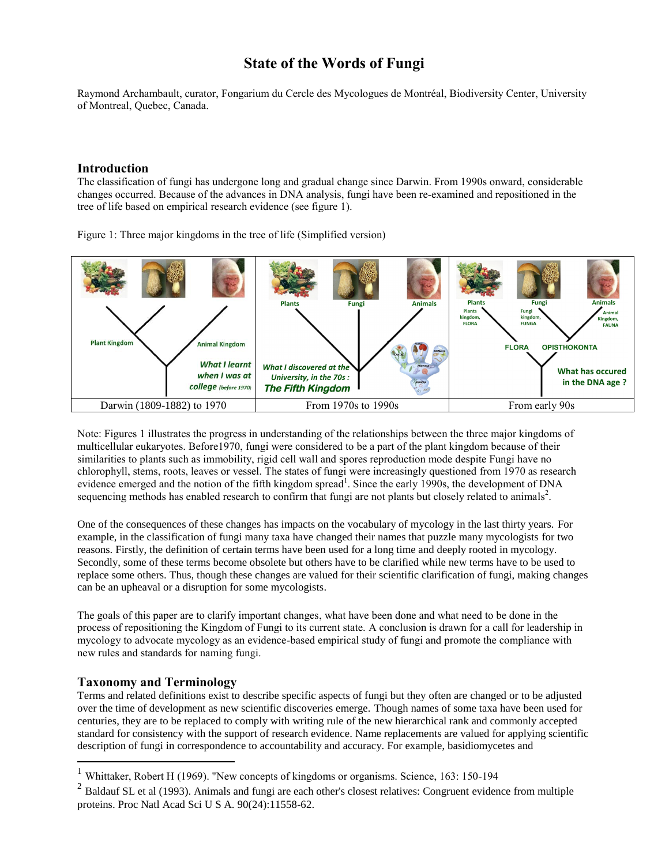# **State of the Words of Fungi**

Raymond Archambault, curator, Fongarium du Cercle des Mycologues de Montréal, Biodiversity Center, University of Montreal, Quebec, Canada.

#### **Introduction**

The classification of fungi has undergone long and gradual change since Darwin. From 1990s onward, considerable changes occurred. Because of the advances in DNA analysis, fungi have been re-examined and repositioned in the tree of life based on empirical research evidence (see figure 1).

Figure 1: Three major kingdoms in the tree of life (Simplified version)



Note: Figures 1 illustrates the progress in understanding of the relationships between the three major kingdoms of multicellular eukaryotes. Before1970, fungi were considered to be a part of the plant kingdom because of their similarities to plants such as immobility, rigid cell wall and spores reproduction mode despite Fungi have no chlorophyll, stems, roots, leaves or vessel. The states of fungi were increasingly questioned from 1970 as research evidence emerged and the notion of the fifth kingdom spread<sup>1</sup>. Since the early 1990s, the development of DNA sequencing methods has enabled research to confirm that fungi are not plants but closely related to animals<sup>2</sup>.

One of the consequences of these changes has impacts on the vocabulary of mycology in the last thirty years. For example, in the classification of fungi many taxa have changed their names that puzzle many mycologists for two reasons. Firstly, the definition of certain terms have been used for a long time and deeply rooted in mycology. Secondly, some of these terms become obsolete but others have to be clarified while new terms have to be used to replace some others. Thus, though these changes are valued for their scientific clarification of fungi, making changes can be an upheaval or a disruption for some mycologists.

The goals of this paper are to clarify important changes, what have been done and what need to be done in the process of repositioning the Kingdom of Fungi to its current state. A conclusion is drawn for a call for leadership in mycology to advocate mycology as an evidence-based empirical study of fungi and promote the compliance with new rules and standards for naming fungi.

## **Taxonomy and Terminology**

 $\overline{a}$ 

Terms and related definitions exist to describe specific aspects of fungi but they often are changed or to be adjusted over the time of development as new scientific discoveries emerge. Though names of some taxa have been used for centuries, they are to be replaced to comply with writing rule of the new hierarchical rank and commonly accepted standard for consistency with the support of research evidence. Name replacements are valued for applying scientific description of fungi in correspondence to accountability and accuracy. For example, basidiomycetes and

<sup>&</sup>lt;sup>1</sup> Whittaker, Robert H (1969). "New concepts of kingdoms or organisms. Science, 163: 150-194

 $2$  Baldauf SL et al (1993). Animals and fungi are each other's closest relatives: Congruent evidence from multiple proteins. [Proc Natl Acad Sci U S A.](https://www.ncbi.nlm.nih.gov/pubmed/8265589) 90(24):11558-62.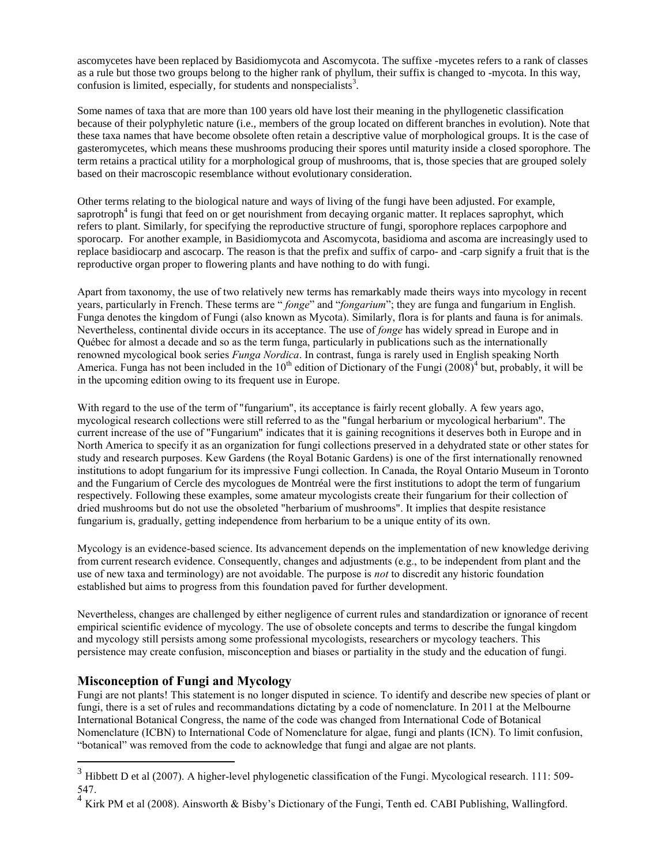ascomycetes have been replaced by Basidiomycota and Ascomycota. The suffixe -mycetes refers to a rank of classes as a rule but those two groups belong to the higher rank of phyllum, their suffix is changed to -mycota. In this way, confusion is limited, especially, for students and nonspecialists<sup>3</sup>.

Some names of taxa that are more than 100 years old have lost their meaning in the phyllogenetic classification because of their polyphyletic nature (i.e., members of the group located on different branches in evolution). Note that these taxa names that have become obsolete often retain a descriptive value of morphological groups. It is the case of gasteromycetes, which means these mushrooms producing their spores until maturity inside a closed sporophore. The term retains a practical utility for a morphological group of mushrooms, that is, those species that are grouped solely based on their macroscopic resemblance without evolutionary consideration.

Other terms relating to the biological nature and ways of living of the fungi have been adjusted. For example, saprotroph<sup>4</sup> is fungi that feed on or get nourishment from decaying organic matter. It replaces saprophyt, which refers to plant. Similarly, for specifying the reproductive structure of fungi, sporophore replaces carpophore and sporocarp. For another example, in Basidiomycota and Ascomycota, basidioma and ascoma are increasingly used to replace basidiocarp and ascocarp. The reason is that the prefix and suffix of carpo- and -carp signify a fruit that is the reproductive organ proper to flowering plants and have nothing to do with fungi.

Apart from taxonomy, the use of two relatively new terms has remarkably made theirs ways into mycology in recent years, particularly in French. These terms are " *fonge*" and "*fongarium*"; they are funga and fungarium in English. Funga denotes the kingdom of Fungi (also known as Mycota). Similarly, flora is for plants and fauna is for animals. Nevertheless, continental divide occurs in its acceptance. The use of *fonge* has widely spread in Europe and in Québec for almost a decade and so as the term funga, particularly in publications such as the internationally renowned mycological book series *Funga Nordica*. In contrast, funga is rarely used in English speaking North America. Funga has not been included in the  $10^{th}$  edition of Dictionary of the Fungi  $(2008)^4$  but, probably, it will be in the upcoming edition owing to its frequent use in Europe.

With regard to the use of the term of "fungarium", its acceptance is fairly recent globally. A few years ago, mycological research collections were still referred to as the "fungal herbarium or mycological herbarium". The current increase of the use of "Fungarium" indicates that it is gaining recognitions it deserves both in Europe and in North America to specify it as an organization for fungi collections preserved in a dehydrated state or other states for study and research purposes. Kew Gardens (the Royal Botanic Gardens) is one of the first internationally renowned institutions to adopt fungarium for its impressive Fungi collection. In Canada, the Royal Ontario Museum in Toronto and the Fungarium of Cercle des mycologues de Montréal were the first institutions to adopt the term of fungarium respectively. Following these examples, some amateur mycologists create their fungarium for their collection of dried mushrooms but do not use the obsoleted "herbarium of mushrooms". It implies that despite resistance fungarium is, gradually, getting independence from herbarium to be a unique entity of its own.

Mycology is an evidence-based science. Its advancement depends on the implementation of new knowledge deriving from current research evidence. Consequently, changes and adjustments (e.g., to be independent from plant and the use of new taxa and terminology) are not avoidable. The purpose is *not* to discredit any historic foundation established but aims to progress from this foundation paved for further development.

Nevertheless, changes are challenged by either negligence of current rules and standardization or ignorance of recent empirical scientific evidence of mycology. The use of obsolete concepts and terms to describe the fungal kingdom and mycology still persists among some professional mycologists, researchers or mycology teachers. This persistence may create confusion, misconception and biases or partiality in the study and the education of fungi.

## **Misconception of Fungi and Mycology**

 $\overline{a}$ 

Fungi are not plants! This statement is no longer disputed in science. To identify and describe new species of plant or fungi, there is a set of rules and recommandations dictating by a code of nomenclature. In 2011 at the Melbourne International Botanical Congress, the name of the code was changed from International Code of Botanical Nomenclature (ICBN) to International Code of Nomenclature for algae, fungi and plants (ICN). To limit confusion, "botanical" was removed from the code to acknowledge that fungi and algae are not plants.

 $3$  Hibbett D et al (2007). A higher-level phylogenetic classification of the Fungi. Mycological research. 111: 509-547.

<sup>&</sup>lt;sup>4</sup> Kirk PM et al (2008). Ainsworth & Bisby's Dictionary of the Fungi, Tenth ed. CABI Publishing, Wallingford.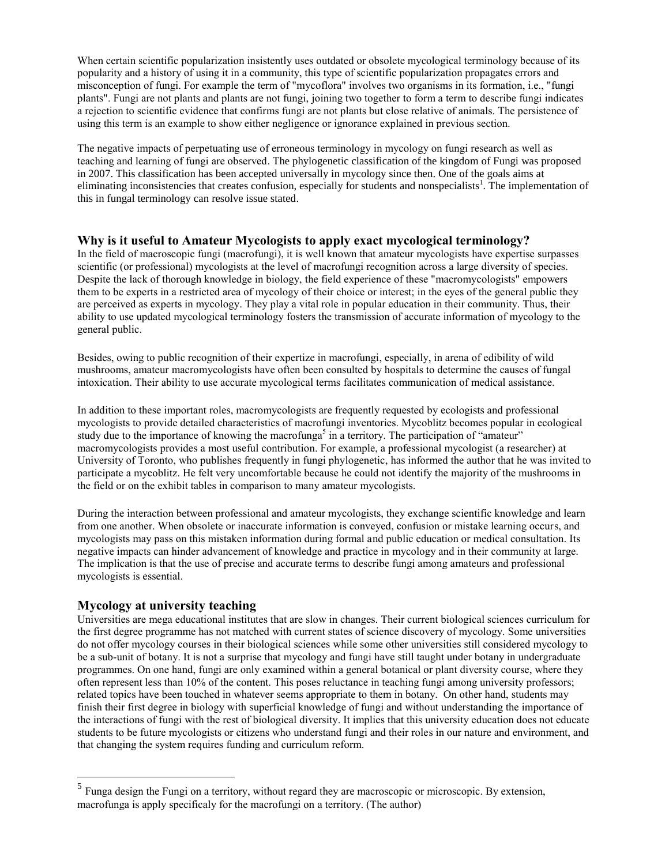When certain scientific popularization insistently uses outdated or obsolete mycological terminology because of its popularity and a history of using it in a community, this type of scientific popularization propagates errors and misconception of fungi. For example the term of "mycoflora" involves two organisms in its formation, i.e., "fungi plants". Fungi are not plants and plants are not fungi, joining two together to form a term to describe fungi indicates a rejection to scientific evidence that confirms fungi are not plants but close relative of animals. The persistence of using this term is an example to show either negligence or ignorance explained in previous section.

The negative impacts of perpetuating use of erroneous terminology in mycology on fungi research as well as teaching and learning of fungi are observed. The phylogenetic classification of the kingdom of Fungi was proposed in 2007. This classification has been accepted universally in mycology since then. One of the goals aims at eliminating inconsistencies that creates confusion, especially for students and nonspecialists<sup>1</sup>. The implementation of this in fungal terminology can resolve issue stated.

#### **Why is it useful to Amateur Mycologists to apply exact mycological terminology?**

In the field of macroscopic fungi (macrofungi), it is well known that amateur mycologists have expertise surpasses scientific (or professional) mycologists at the level of macrofungi recognition across a large diversity of species. Despite the lack of thorough knowledge in biology, the field experience of these "macromycologists" empowers them to be experts in a restricted area of mycology of their choice or interest; in the eyes of the general public they are perceived as experts in mycology. They play a vital role in popular education in their community. Thus, their ability to use updated mycological terminology fosters the transmission of accurate information of mycology to the general public.

Besides, owing to public recognition of their expertize in macrofungi, especially, in arena of edibility of wild mushrooms, amateur macromycologists have often been consulted by hospitals to determine the causes of fungal intoxication. Their ability to use accurate mycological terms facilitates communication of medical assistance.

In addition to these important roles, macromycologists are frequently requested by ecologists and professional mycologists to provide detailed characteristics of macrofungi inventories. Mycoblitz becomes popular in ecological study due to the importance of knowing the macrofunga<sup>5</sup> in a territory. The participation of "amateur" macromycologists provides a most useful contribution. For example, a professional mycologist (a researcher) at University of Toronto, who publishes frequently in fungi phylogenetic, has informed the author that he was invited to participate a mycoblitz. He felt very uncomfortable because he could not identify the majority of the mushrooms in the field or on the exhibit tables in comparison to many amateur mycologists.

During the interaction between professional and amateur mycologists, they exchange scientific knowledge and learn from one another. When obsolete or inaccurate information is conveyed, confusion or mistake learning occurs, and mycologists may pass on this mistaken information during formal and public education or medical consultation. Its negative impacts can hinder advancement of knowledge and practice in mycology and in their community at large. The implication is that the use of precise and accurate terms to describe fungi among amateurs and professional mycologists is essential.

## **Mycology at university teaching**

Universities are mega educational institutes that are slow in changes. Their current biological sciences curriculum for the first degree programme has not matched with current states of science discovery of mycology. Some universities do not offer mycology courses in their biological sciences while some other universities still considered mycology to be a sub-unit of botany. It is not a surprise that mycology and fungi have still taught under botany in undergraduate programmes. On one hand, fungi are only examined within a general botanical or plant diversity course, where they often represent less than 10% of the content. This poses reluctance in teaching fungi among university professors; related topics have been touched in whatever seems appropriate to them in botany. On other hand, students may finish their first degree in biology with superficial knowledge of fungi and without understanding the importance of the interactions of fungi with the rest of biological diversity. It implies that this university education does not educate students to be future mycologists or citizens who understand fungi and their roles in our nature and environment, and that changing the system requires funding and curriculum reform.

<sup>&</sup>lt;sup>5</sup> Funga design the Fungi on a territory, without regard they are macroscopic or microscopic. By extension, macrofunga is apply specificaly for the macrofungi on a territory. (The author)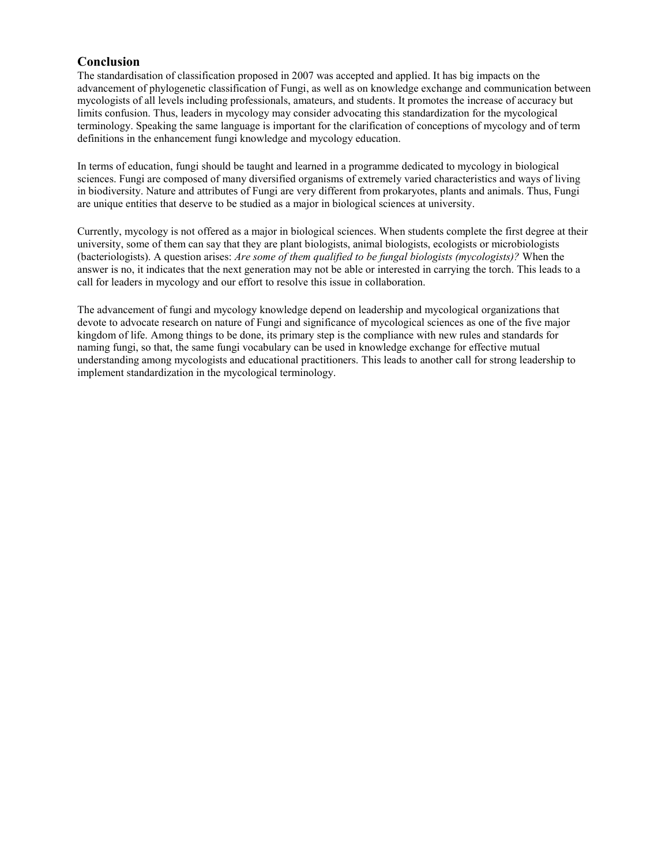## **Conclusion**

The standardisation of classification proposed in 2007 was accepted and applied. It has big impacts on the advancement of phylogenetic classification of Fungi, as well as on knowledge exchange and communication between mycologists of all levels including professionals, amateurs, and students. It promotes the increase of accuracy but limits confusion. Thus, leaders in mycology may consider advocating this standardization for the mycological terminology. Speaking the same language is important for the clarification of conceptions of mycology and of term definitions in the enhancement fungi knowledge and mycology education.

In terms of education, fungi should be taught and learned in a programme dedicated to mycology in biological sciences. Fungi are composed of many diversified organisms of extremely varied characteristics and ways of living in biodiversity. Nature and attributes of Fungi are very different from prokaryotes, plants and animals. Thus, Fungi are unique entities that deserve to be studied as a major in biological sciences at university.

Currently, mycology is not offered as a major in biological sciences. When students complete the first degree at their university, some of them can say that they are plant biologists, animal biologists, ecologists or microbiologists (bacteriologists). A question arises: *Are some of them qualified to be fungal biologists (mycologists)?* When the answer is no, it indicates that the next generation may not be able or interested in carrying the torch. This leads to a call for leaders in mycology and our effort to resolve this issue in collaboration.

The advancement of fungi and mycology knowledge depend on leadership and mycological organizations that devote to advocate research on nature of Fungi and significance of mycological sciences as one of the five major kingdom of life. Among things to be done, its primary step is the compliance with new rules and standards for naming fungi, so that, the same fungi vocabulary can be used in knowledge exchange for effective mutual understanding among mycologists and educational practitioners. This leads to another call for strong leadership to implement standardization in the mycological terminology.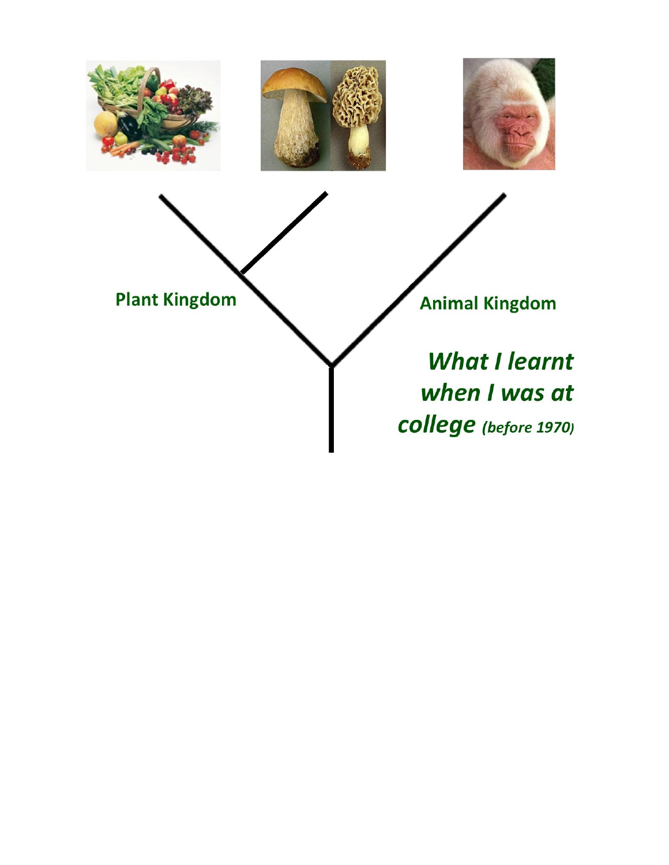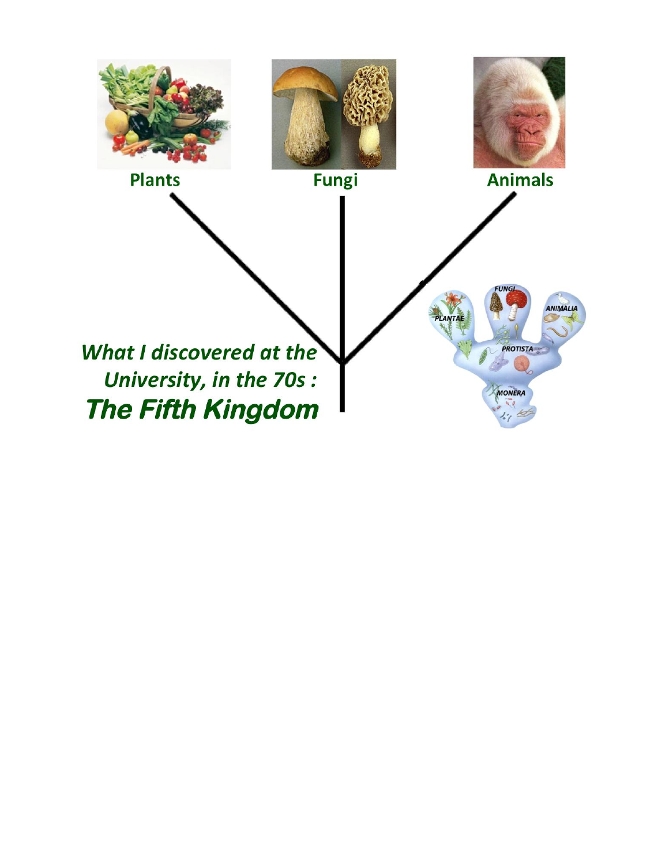